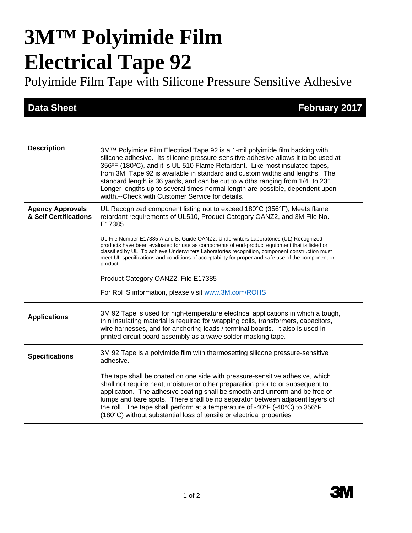# **3M™ Polyimide Film Electrical Tape 92**

Polyimide Film Tape with Silicone Pressure Sensitive Adhesive

**Data Sheet February 2017** 

| <b>Description</b>                               | 3M™ Polyimide Film Electrical Tape 92 is a 1-mil polyimide film backing with<br>silicone adhesive. Its silicone pressure-sensitive adhesive allows it to be used at<br>356°F (180°C), and it is UL 510 Flame Retardant. Like most insulated tapes,<br>from 3M, Tape 92 is available in standard and custom widths and lengths. The<br>standard length is 36 yards, and can be cut to widths ranging from 1/4" to 23".<br>Longer lengths up to several times normal length are possible, dependent upon<br>width.--Check with Customer Service for details. |
|--------------------------------------------------|------------------------------------------------------------------------------------------------------------------------------------------------------------------------------------------------------------------------------------------------------------------------------------------------------------------------------------------------------------------------------------------------------------------------------------------------------------------------------------------------------------------------------------------------------------|
| <b>Agency Approvals</b><br>& Self Certifications | UL Recognized component listing not to exceed 180°C (356°F), Meets flame<br>retardant requirements of UL510, Product Category OANZ2, and 3M File No.<br>E17385                                                                                                                                                                                                                                                                                                                                                                                             |
|                                                  | UL File Number E17385 A and B, Guide OANZ2. Underwriters Laboratories (UL) Recognized<br>products have been evaluated for use as components of end-product equipment that is listed or<br>classified by UL. To achieve Underwriters Laboratories recognition, component construction must<br>meet UL specifications and conditions of acceptability for proper and safe use of the component or<br>product.                                                                                                                                                |
|                                                  | Product Category OANZ2, File E17385                                                                                                                                                                                                                                                                                                                                                                                                                                                                                                                        |
|                                                  | For RoHS information, please visit www.3M.com/ROHS                                                                                                                                                                                                                                                                                                                                                                                                                                                                                                         |
| <b>Applications</b>                              | 3M 92 Tape is used for high-temperature electrical applications in which a tough,<br>thin insulating material is required for wrapping coils, transformers, capacitors,<br>wire harnesses, and for anchoring leads / terminal boards. It also is used in<br>printed circuit board assembly as a wave solder masking tape.                                                                                                                                                                                                                                  |
| <b>Specifications</b>                            | 3M 92 Tape is a polyimide film with thermosetting silicone pressure-sensitive<br>adhesive.                                                                                                                                                                                                                                                                                                                                                                                                                                                                 |
|                                                  | The tape shall be coated on one side with pressure-sensitive adhesive, which<br>shall not require heat, moisture or other preparation prior to or subsequent to<br>application. The adhesive coating shall be smooth and uniform and be free of<br>lumps and bare spots. There shall be no separator between adjacent layers of<br>the roll. The tape shall perform at a temperature of -40°F (-40°C) to 356°F<br>(180°C) without substantial loss of tensile or electrical properties                                                                     |